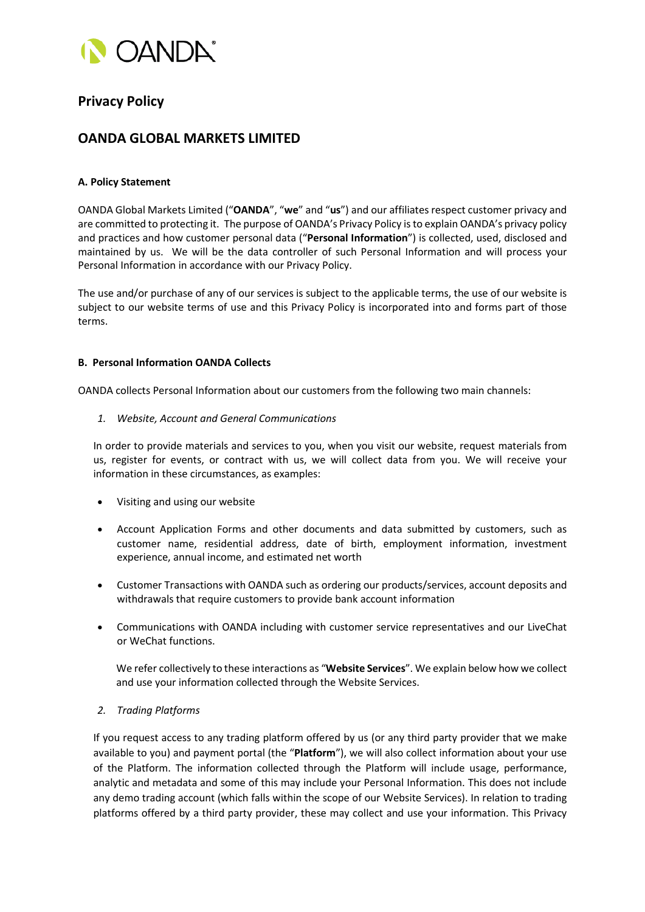

# **Privacy Policy**

## **OANDA GLOBAL MARKETS LIMITED**

## **A. Policy Statement**

OANDA Global Markets Limited ("**OANDA**", "**we**" and "**us**") and our affiliatesrespect customer privacy and are committed to protecting it. The purpose of OANDA's Privacy Policy is to explain OANDA's privacy policy and practices and how customer personal data ("**Personal Information**") is collected, used, disclosed and maintained by us. We will be the data controller of such Personal Information and will process your Personal Information in accordance with our Privacy Policy.

The use and/or purchase of any of our services is subject to the applicable terms, the use of our website is subject to our website terms of use and this Privacy Policy is incorporated into and forms part of those terms.

## **B. Personal Information OANDA Collects**

OANDA collects Personal Information about our customers from the following two main channels:

*1. Website, Account and General Communications*

In order to provide materials and services to you, when you visit our website, request materials from us, register for events, or contract with us, we will collect data from you. We will receive your information in these circumstances, as examples:

- Visiting and using our website
- Account Application Forms and other documents and data submitted by customers, such as customer name, residential address, date of birth, employment information, investment experience, annual income, and estimated net worth
- Customer Transactions with OANDA such as ordering our products/services, account deposits and withdrawals that require customers to provide bank account information
- Communications with OANDA including with customer service representatives and our LiveChat or WeChat functions.

We refer collectively to these interactions as "**Website Services**". We explain below how we collect and use your information collected through the Website Services.

*2. Trading Platforms*

If you request access to any trading platform offered by us (or any third party provider that we make available to you) and payment portal (the "**Platform**"), we will also collect information about your use of the Platform. The information collected through the Platform will include usage, performance, analytic and metadata and some of this may include your Personal Information. This does not include any demo trading account (which falls within the scope of our Website Services). In relation to trading platforms offered by a third party provider, these may collect and use your information. This Privacy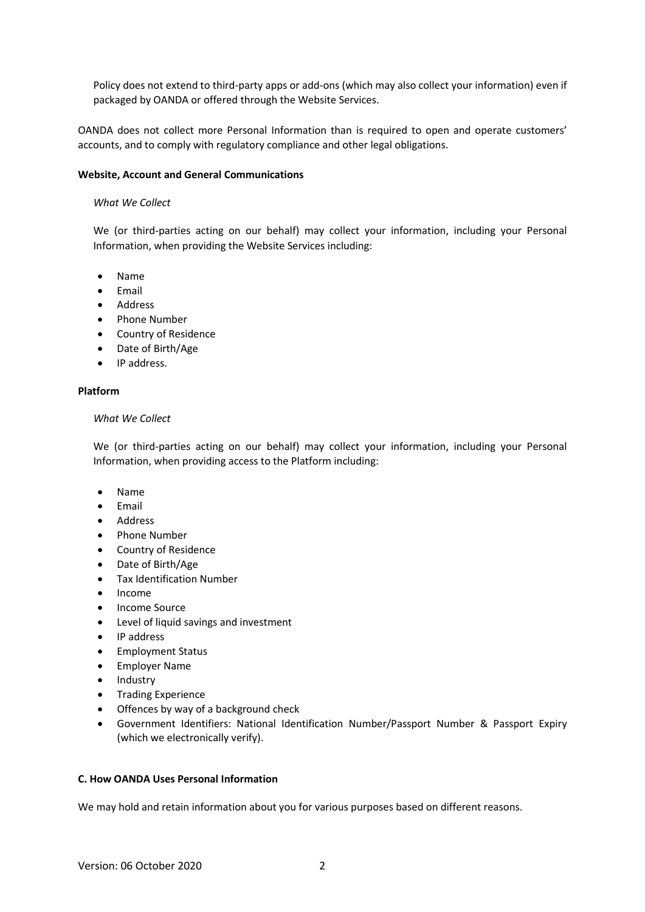Policy does not extend to third-party apps or add-ons (which may also collect your information) even if packaged by OANDA or offered through the Website Services.

OANDA does not collect more Personal Information than is required to open and operate customers' accounts, and to comply with regulatory compliance and other legal obligations.

#### **Website, Account and General Communications**

#### *What We Collect*

We (or third-parties acting on our behalf) may collect your information, including your Personal Information, when providing the Website Services including:

- Name
- Email
- Address
- Phone Number
- Country of Residence
- Date of Birth/Age
- IP address.

#### **Platform**

#### *What We Collect*

We (or third-parties acting on our behalf) may collect your information, including your Personal Information, when providing access to the Platform including:

- Name
- Email
- Address
- Phone Number
- Country of Residence
- Date of Birth/Age
- Tax Identification Number
- Income
- Income Source
- Level of liquid savings and investment
- IP address
- Employment Status
- Employer Name
- Industry
- Trading Experience
- Offences by way of a background check
- Government Identifiers: National Identification Number/Passport Number & Passport Expiry (which we electronically verify).

### **C. How OANDA Uses Personal Information**

We may hold and retain information about you for various purposes based on different reasons.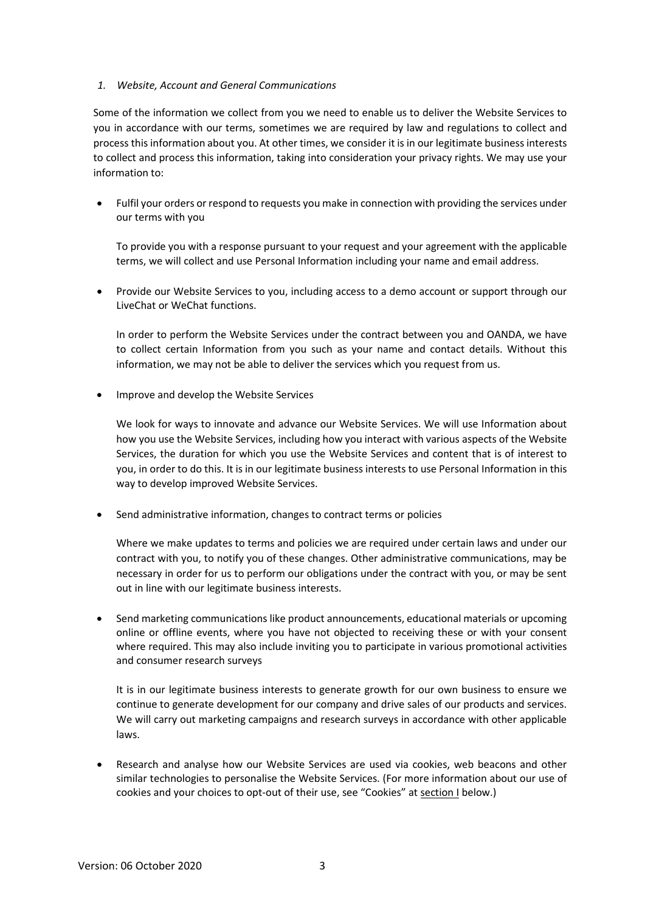### *1. Website, Account and General Communications*

Some of the information we collect from you we need to enable us to deliver the Website Services to you in accordance with our terms, sometimes we are required by law and regulations to collect and process this information about you. At other times, we consider it is in our legitimate business interests to collect and process this information, taking into consideration your privacy rights. We may use your information to:

• Fulfil your orders or respond to requests you make in connection with providing the services under our terms with you

To provide you with a response pursuant to your request and your agreement with the applicable terms, we will collect and use Personal Information including your name and email address.

• Provide our Website Services to you, including access to a demo account or support through our LiveChat or WeChat functions.

In order to perform the Website Services under the contract between you and OANDA, we have to collect certain Information from you such as your name and contact details. Without this information, we may not be able to deliver the services which you request from us.

• Improve and develop the Website Services

We look for ways to innovate and advance our Website Services. We will use Information about how you use the Website Services, including how you interact with various aspects of the Website Services, the duration for which you use the Website Services and content that is of interest to you, in order to do this. It is in our legitimate business interests to use Personal Information in this way to develop improved Website Services.

• Send administrative information, changes to contract terms or policies

Where we make updates to terms and policies we are required under certain laws and under our contract with you, to notify you of these changes. Other administrative communications, may be necessary in order for us to perform our obligations under the contract with you, or may be sent out in line with our legitimate business interests.

• Send marketing communications like product announcements, educational materials or upcoming online or offline events, where you have not objected to receiving these or with your consent where required. This may also include inviting you to participate in various promotional activities and consumer research surveys

It is in our legitimate business interests to generate growth for our own business to ensure we continue to generate development for our company and drive sales of our products and services. We will carry out marketing campaigns and research surveys in accordance with other applicable laws.

• Research and analyse how our Website Services are used via cookies, web beacons and other similar technologies to personalise the Website Services. (For more information about our use of cookies and your choices to opt-out of their use, see "Cookies" at section I below.)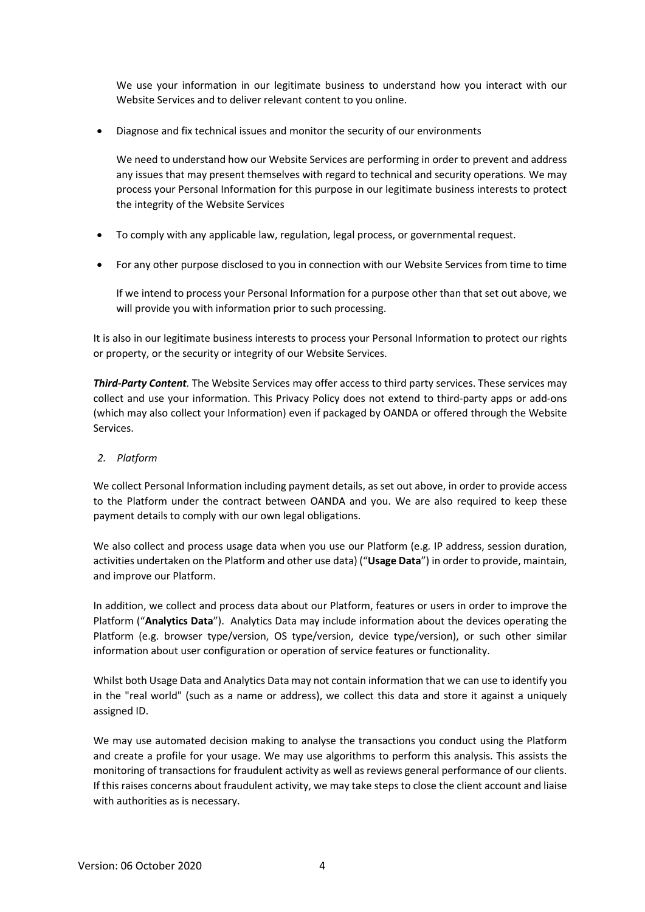We use your information in our legitimate business to understand how you interact with our Website Services and to deliver relevant content to you online.

• Diagnose and fix technical issues and monitor the security of our environments

We need to understand how our Website Services are performing in order to prevent and address any issues that may present themselves with regard to technical and security operations. We may process your Personal Information for this purpose in our legitimate business interests to protect the integrity of the Website Services

- To comply with any applicable law, regulation, legal process, or governmental request.
- For any other purpose disclosed to you in connection with our Website Services from time to time

If we intend to process your Personal Information for a purpose other than that set out above, we will provide you with information prior to such processing.

It is also in our legitimate business interests to process your Personal Information to protect our rights or property, or the security or integrity of our Website Services.

*Third-Party Content.* The Website Services may offer access to third party services. These services may collect and use your information. This Privacy Policy does not extend to third-party apps or add-ons (which may also collect your Information) even if packaged by OANDA or offered through the Website Services.

## *2. Platform*

We collect Personal Information including payment details, as set out above, in order to provide access to the Platform under the contract between OANDA and you. We are also required to keep these payment details to comply with our own legal obligations.

We also collect and process usage data when you use our Platform (e.g*.* IP address, session duration, activities undertaken on the Platform and other use data) ("**Usage Data**") in order to provide, maintain, and improve our Platform.

In addition, we collect and process data about our Platform, features or users in order to improve the Platform ("**Analytics Data**"). Analytics Data may include information about the devices operating the Platform (e.g. browser type/version, OS type/version, device type/version), or such other similar information about user configuration or operation of service features or functionality.

Whilst both Usage Data and Analytics Data may not contain information that we can use to identify you in the "real world" (such as a name or address), we collect this data and store it against a uniquely assigned ID.

We may use automated decision making to analyse the transactions you conduct using the Platform and create a profile for your usage. We may use algorithms to perform this analysis. This assists the monitoring of transactions for fraudulent activity as well as reviews general performance of our clients. If this raises concerns about fraudulent activity, we may take steps to close the client account and liaise with authorities as is necessary.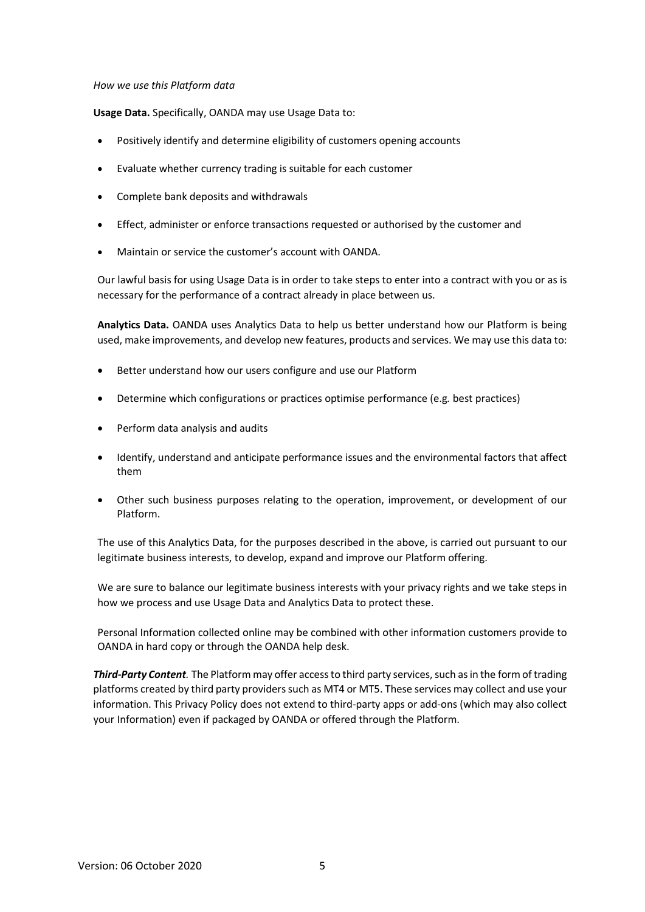#### *How we use this Platform data*

**Usage Data.** Specifically, OANDA may use Usage Data to:

- Positively identify and determine eligibility of customers opening accounts
- Evaluate whether currency trading is suitable for each customer
- Complete bank deposits and withdrawals
- Effect, administer or enforce transactions requested or authorised by the customer and
- Maintain or service the customer's account with OANDA.

Our lawful basis for using Usage Data is in order to take steps to enter into a contract with you or as is necessary for the performance of a contract already in place between us.

**Analytics Data.** OANDA uses Analytics Data to help us better understand how our Platform is being used, make improvements, and develop new features, products and services. We may use this data to:

- Better understand how our users configure and use our Platform
- Determine which configurations or practices optimise performance (e.g*.* best practices)
- Perform data analysis and audits
- Identify, understand and anticipate performance issues and the environmental factors that affect them
- Other such business purposes relating to the operation, improvement, or development of our Platform.

The use of this Analytics Data, for the purposes described in the above, is carried out pursuant to our legitimate business interests, to develop, expand and improve our Platform offering.

We are sure to balance our legitimate business interests with your privacy rights and we take steps in how we process and use Usage Data and Analytics Data to protect these.

Personal Information collected online may be combined with other information customers provide to OANDA in hard copy or through the OANDA help desk.

*Third-Party Content.* The Platform may offer access to third party services, such as in the form of trading platforms created by third party providers such as MT4 or MT5. These services may collect and use your information. This Privacy Policy does not extend to third-party apps or add-ons (which may also collect your Information) even if packaged by OANDA or offered through the Platform.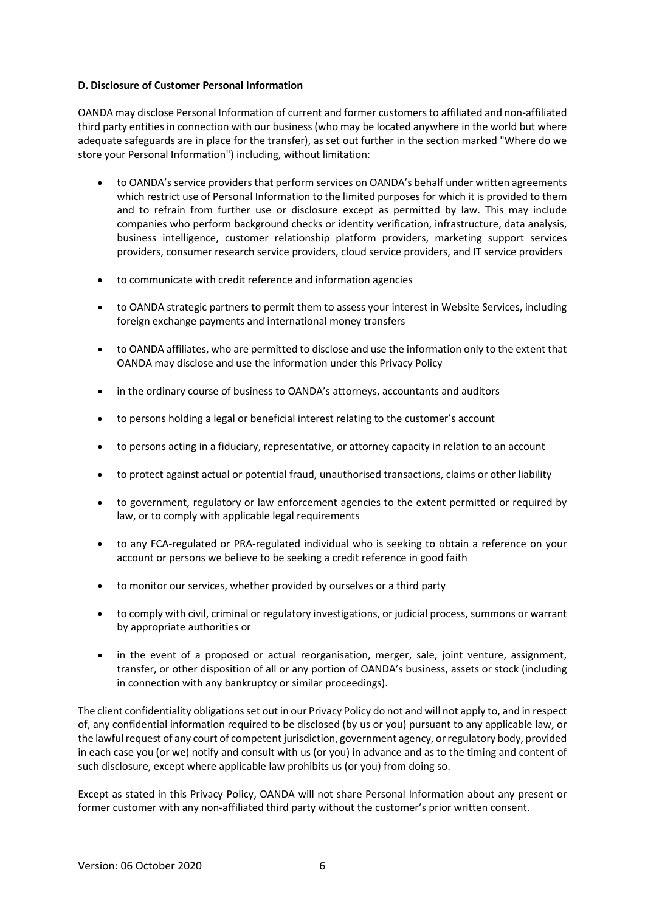### **D. Disclosure of Customer Personal Information**

OANDA may disclose Personal Information of current and former customers to affiliated and non-affiliated third party entities in connection with our business (who may be located anywhere in the world but where adequate safeguards are in place for the transfer), as set out further in the section marked "Where do we store your Personal Information") including, without limitation:

- to OANDA's service providers that perform services on OANDA's behalf under written agreements which restrict use of Personal Information to the limited purposes for which it is provided to them and to refrain from further use or disclosure except as permitted by law. This may include companies who perform background checks or identity verification, infrastructure, data analysis, business intelligence, customer relationship platform providers, marketing support services providers, consumer research service providers, cloud service providers, and IT service providers
- to communicate with credit reference and information agencies
- to OANDA strategic partners to permit them to assess your interest in Website Services, including foreign exchange payments and international money transfers
- to OANDA affiliates, who are permitted to disclose and use the information only to the extent that OANDA may disclose and use the information under this Privacy Policy
- in the ordinary course of business to OANDA's attorneys, accountants and auditors
- to persons holding a legal or beneficial interest relating to the customer's account
- to persons acting in a fiduciary, representative, or attorney capacity in relation to an account
- to protect against actual or potential fraud, unauthorised transactions, claims or other liability
- to government, regulatory or law enforcement agencies to the extent permitted or required by law, or to comply with applicable legal requirements
- to any FCA-regulated or PRA-regulated individual who is seeking to obtain a reference on your account or persons we believe to be seeking a credit reference in good faith
- to monitor our services, whether provided by ourselves or a third party
- to comply with civil, criminal or regulatory investigations, or judicial process, summons or warrant by appropriate authorities or
- in the event of a proposed or actual reorganisation, merger, sale, joint venture, assignment, transfer, or other disposition of all or any portion of OANDA's business, assets or stock (including in connection with any bankruptcy or similar proceedings).

The client confidentiality obligations set out in our Privacy Policy do not and will not apply to, and in respect of, any confidential information required to be disclosed (by us or you) pursuant to any applicable law, or the lawful request of any court of competent jurisdiction, government agency, or regulatory body, provided in each case you (or we) notify and consult with us (or you) in advance and as to the timing and content of such disclosure, except where applicable law prohibits us (or you) from doing so.

Except as stated in this Privacy Policy, OANDA will not share Personal Information about any present or former customer with any non-affiliated third party without the customer's prior written consent.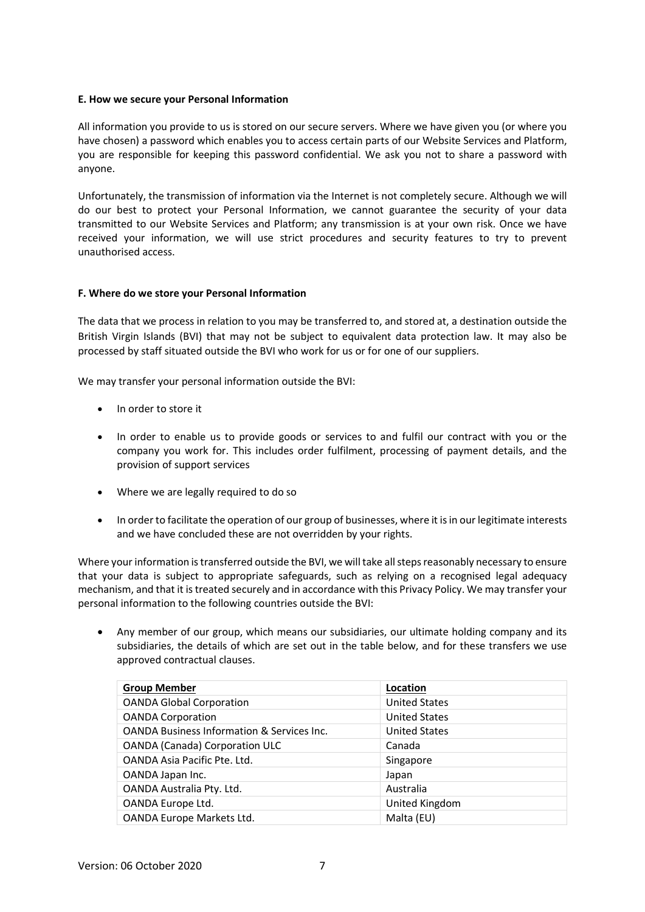#### **E. How we secure your Personal Information**

All information you provide to us is stored on our secure servers. Where we have given you (or where you have chosen) a password which enables you to access certain parts of our Website Services and Platform, you are responsible for keeping this password confidential. We ask you not to share a password with anyone.

Unfortunately, the transmission of information via the Internet is not completely secure. Although we will do our best to protect your Personal Information, we cannot guarantee the security of your data transmitted to our Website Services and Platform; any transmission is at your own risk. Once we have received your information, we will use strict procedures and security features to try to prevent unauthorised access.

#### **F. Where do we store your Personal Information**

The data that we process in relation to you may be transferred to, and stored at, a destination outside the British Virgin Islands (BVI) that may not be subject to equivalent data protection law. It may also be processed by staff situated outside the BVI who work for us or for one of our suppliers.

We may transfer your personal information outside the BVI:

- In order to store it
- In order to enable us to provide goods or services to and fulfil our contract with you or the company you work for. This includes order fulfilment, processing of payment details, and the provision of support services
- Where we are legally required to do so
- In order to facilitate the operation of our group of businesses, where it is in our legitimate interests and we have concluded these are not overridden by your rights.

Where your information is transferred outside the BVI, we will take all steps reasonably necessary to ensure that your data is subject to appropriate safeguards, such as relying on a recognised legal adequacy mechanism, and that it is treated securely and in accordance with this Privacy Policy. We may transfer your personal information to the following countries outside the BVI:

• Any member of our group, which means our subsidiaries, our ultimate holding company and its subsidiaries, the details of which are set out in the table below, and for these transfers we use approved contractual clauses.

| <b>Group Member</b>                                   | Location             |
|-------------------------------------------------------|----------------------|
| <b>OANDA Global Corporation</b>                       | <b>United States</b> |
| <b>OANDA Corporation</b>                              | <b>United States</b> |
| <b>OANDA Business Information &amp; Services Inc.</b> | <b>United States</b> |
| <b>OANDA (Canada) Corporation ULC</b>                 | Canada               |
| OANDA Asia Pacific Pte. Ltd.                          | Singapore            |
| OANDA Japan Inc.                                      | Japan                |
| OANDA Australia Pty. Ltd.                             | Australia            |
| OANDA Europe Ltd.                                     | United Kingdom       |
| OANDA Europe Markets Ltd.                             | Malta (EU)           |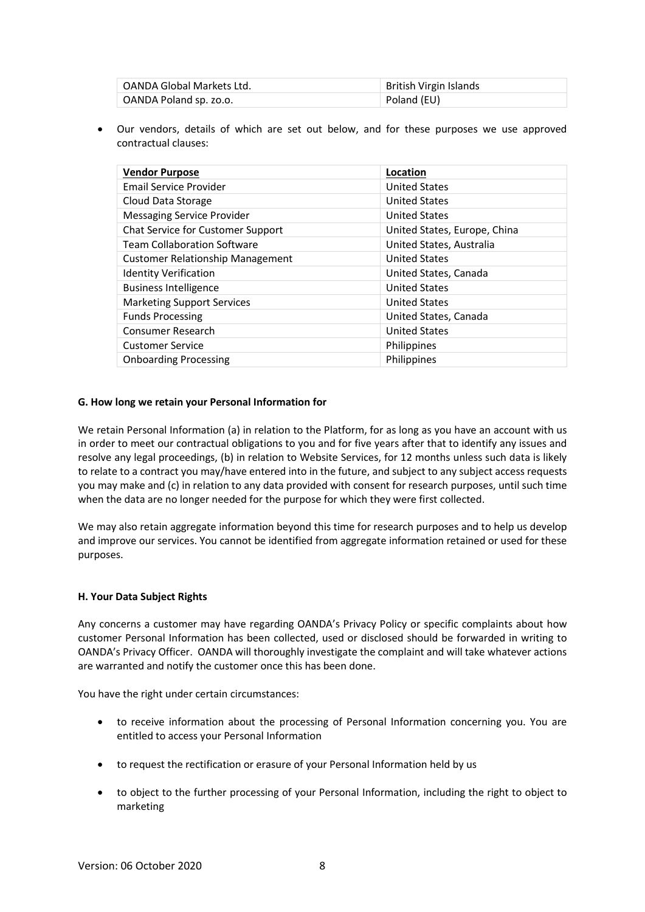| OANDA Global Markets Ltd. | British Virgin Islands |
|---------------------------|------------------------|
| OANDA Poland sp. zo.o.    | Poland (EU)            |

• Our vendors, details of which are set out below, and for these purposes we use approved contractual clauses:

| <b>Vendor Purpose</b>                   | Location                     |
|-----------------------------------------|------------------------------|
| <b>Email Service Provider</b>           | <b>United States</b>         |
| Cloud Data Storage                      | <b>United States</b>         |
| <b>Messaging Service Provider</b>       | <b>United States</b>         |
| Chat Service for Customer Support       | United States, Europe, China |
| <b>Team Collaboration Software</b>      | United States, Australia     |
| <b>Customer Relationship Management</b> | <b>United States</b>         |
| <b>Identity Verification</b>            | United States, Canada        |
| <b>Business Intelligence</b>            | <b>United States</b>         |
| <b>Marketing Support Services</b>       | <b>United States</b>         |
| <b>Funds Processing</b>                 | United States, Canada        |
| Consumer Research                       | <b>United States</b>         |
| <b>Customer Service</b>                 | <b>Philippines</b>           |
| <b>Onboarding Processing</b>            | Philippines                  |

#### **G. How long we retain your Personal Information for**

We retain Personal Information (a) in relation to the Platform, for as long as you have an account with us in order to meet our contractual obligations to you and for five years after that to identify any issues and resolve any legal proceedings, (b) in relation to Website Services, for 12 months unless such data is likely to relate to a contract you may/have entered into in the future, and subject to any subject access requests you may make and (c) in relation to any data provided with consent for research purposes, until such time when the data are no longer needed for the purpose for which they were first collected.

We may also retain aggregate information beyond this time for research purposes and to help us develop and improve our services. You cannot be identified from aggregate information retained or used for these purposes.

#### **H. Your Data Subject Rights**

Any concerns a customer may have regarding OANDA's Privacy Policy or specific complaints about how customer Personal Information has been collected, used or disclosed should be forwarded in writing to OANDA's Privacy Officer. OANDA will thoroughly investigate the complaint and will take whatever actions are warranted and notify the customer once this has been done.

You have the right under certain circumstances:

- to receive information about the processing of Personal Information concerning you. You are entitled to access your Personal Information
- to request the rectification or erasure of your Personal Information held by us
- to object to the further processing of your Personal Information, including the right to object to marketing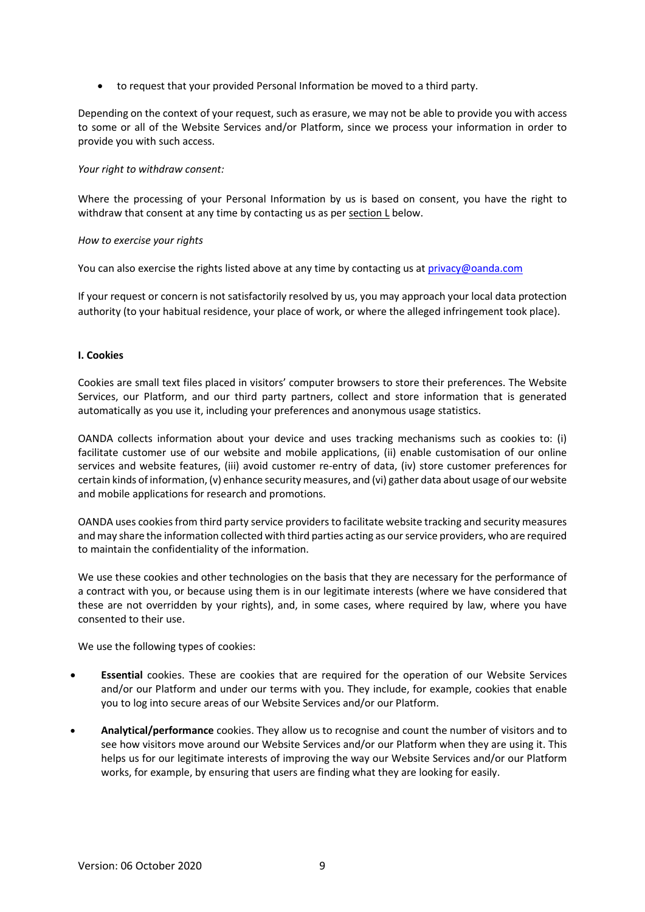• to request that your provided Personal Information be moved to a third party.

Depending on the context of your request, such as erasure, we may not be able to provide you with access to some or all of the Website Services and/or Platform, since we process your information in order to provide you with such access.

## *Your right to withdraw consent:*

Where the processing of your Personal Information by us is based on consent, you have the right to withdraw that consent at any time by contacting us as per section L below.

## *How to exercise your rights*

You can also exercise the rights listed above at any time by contacting us at [privacy@oanda.com](mailto:privacy@oanda.com)

If your request or concern is not satisfactorily resolved by us, you may approach your local data protection authority (to your habitual residence, your place of work, or where the alleged infringement took place).

## **I. Cookies**

Cookies are small text files placed in visitors' computer browsers to store their preferences. The Website Services, our Platform, and our third party partners, collect and store information that is generated automatically as you use it, including your preferences and anonymous usage statistics.

OANDA collects information about your device and uses tracking mechanisms such as cookies to: (i) facilitate customer use of our website and mobile applications, (ii) enable customisation of our online services and website features, (iii) avoid customer re-entry of data, (iv) store customer preferences for certain kinds of information, (v) enhance security measures, and (vi) gather data about usage of our website and mobile applications for research and promotions.

OANDA uses cookies from third party service providers to facilitate website tracking and security measures and may share the information collected with third parties acting as our service providers, who are required to maintain the confidentiality of the information.

We use these cookies and other technologies on the basis that they are necessary for the performance of a contract with you, or because using them is in our legitimate interests (where we have considered that these are not overridden by your rights), and, in some cases, where required by law, where you have consented to their use.

We use the following types of cookies:

- **Essential** cookies. These are cookies that are required for the operation of our Website Services and/or our Platform and under our terms with you. They include, for example, cookies that enable you to log into secure areas of our Website Services and/or our Platform.
- **Analytical/performance** cookies. They allow us to recognise and count the number of visitors and to see how visitors move around our Website Services and/or our Platform when they are using it. This helps us for our legitimate interests of improving the way our Website Services and/or our Platform works, for example, by ensuring that users are finding what they are looking for easily.